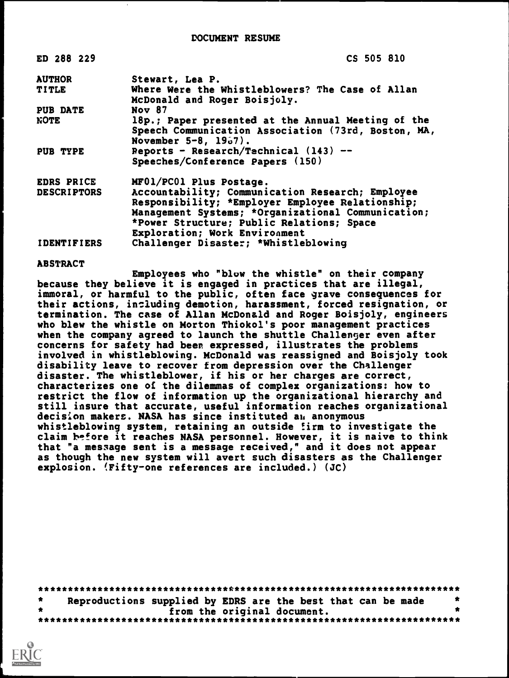| ED 288 229         | CS 505 810                                                                                                                                                                                                                               |
|--------------------|------------------------------------------------------------------------------------------------------------------------------------------------------------------------------------------------------------------------------------------|
| <b>AUTHOR</b>      | Stewart, Lea P.                                                                                                                                                                                                                          |
| TITLE              | Where Were the Whistleblowers? The Case of Allan<br>McDonald and Roger Boisjoly.                                                                                                                                                         |
| <b>PUB DATE</b>    | <b>Nov 87</b>                                                                                                                                                                                                                            |
| <b>NOTE</b>        | 18p.; Paper presented at the Annual Meeting of the<br>Speech Communication Association (73rd, Boston, MA,<br>November $5-8$ , $19-7$ .                                                                                                   |
| PUB TYPE           | Reports - Research/Technical $(143)$ --<br>Speeches/Conference Papers (150)                                                                                                                                                              |
| <b>EDRS PRICE</b>  | MF01/PC01 Plus Postage.                                                                                                                                                                                                                  |
| <b>DESCRIPTORS</b> | Accountability; Communication Research; Employee<br>Responsibility; *Employer Employee Relationship;<br>Management Systems; *Organizational Communication;<br>*Power Structure; Public Relations; Space<br>Exploration; Work Environment |
| <b>IDENTIFIERS</b> | Challenger Disaster; *Whistleblowing                                                                                                                                                                                                     |

### ABSTRACT

Employees who "blow the whistle" on their company because they believe it is engaged in practices that are illegal, immoral, or harmful to the public, often face grave consequences for their actions, including demotion, harassment, forced resignation, or termination. The case of Allan McDonald and Roger Boisjoly, engineers who blew the whistle on Morton Thiokol's poor management practices when the company agreed to launch the shuttle Challenger even after concerns for safety had been expressed, illustrates the problems involved in whistleblowing. McDonald was reassigned and Boisjoly took disability leave to recover from depression over the Challenger disaster. The whistleblower, if his or her charges are correct, characterizes one of the dilemmas of complex organizations: how to restrict the flow of information up the organizational hierarchy and still insure that accurate, useful information reaches organizational decision makers. NASA has since instituted au anonymous whistleblowing system, retaining an outside firm to investigate the claim before it reaches NASA personnel. However, it is naive to think that "a message sent is a message received," and it does not appear as though the new system will avert such disasters as the Challenger explosion. (Fifty-one references are included.) (JC)

| $\star$ | Reproductions supplied by EDRS are the best that can be made |  |  |  |  |
|---------|--------------------------------------------------------------|--|--|--|--|
|         | from the original document.                                  |  |  |  |  |
|         |                                                              |  |  |  |  |

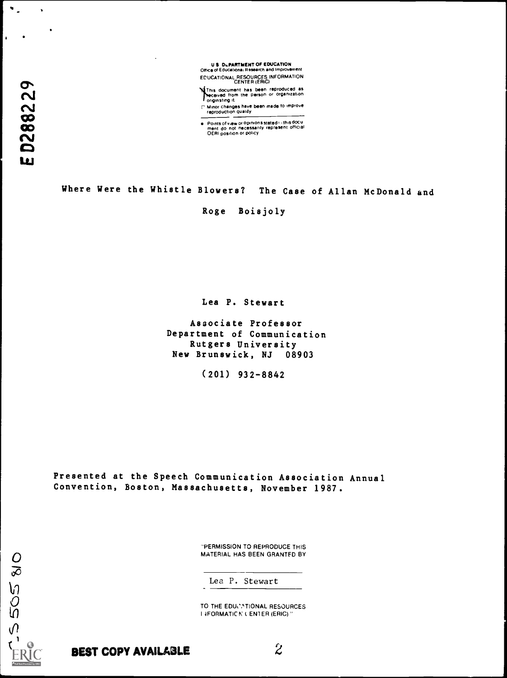

Minis document has been reproduced as either the person or organization<br>
the person or organization<br>
onginating it.

C Minor changes have been made to improve<br>
reproduction quality

Points of view or opinions stated i lithis docu<br>ment ido inot inecessarily represent official<br>OERI position or policy

Where Were the Whistle Blowers? The Case of Allan McDonald and

Roge Boisjoly

Lea P. Stewart

Associate Professor Department of Communication Rutgers University New Brunswick, NJ 08903

(201) 932-8842

Presented at the Speech Communication Association Annual Convention, Boston, Massachusetts, November 1987.

> "PERMISSION TO REPRODUCE THIS MATERIAL HAS BEEN GRANTFD BY

Lea P. Stewart

TO THE EDUCNTIONAL RESOURCES I IFORMATIC N ( ENTER (ERIC) "

 $\frac{0}{8}$ 

**505** 

 $\Omega$ 

 $f(x) = 1$ 

 $\mathbf{r}$ 

BEST COPY AVAILABLE  $2$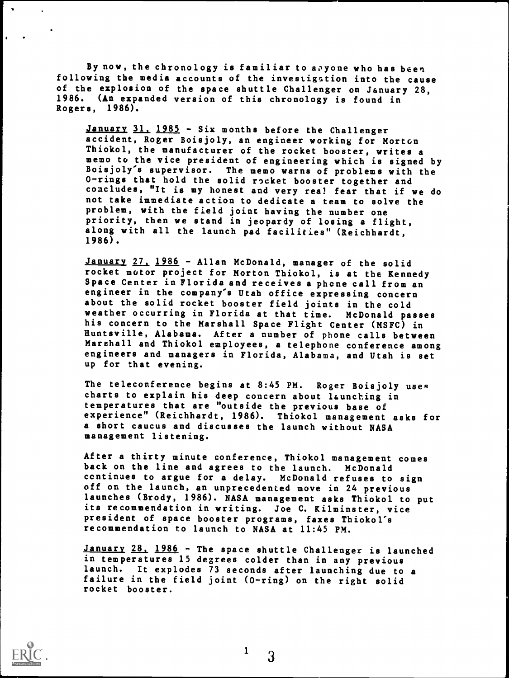By now, the chronology is familiar to aoyone who has been following the media accounts of the investigation into the cause of the explosion of the space shuttle Challenger on January 28, 1986. (An expanded version of this chronology is found in Rogers, 1986).

January 31, 1985 - Six months before the Challenger accident, Roger Boisjoly, an engineer working for Morton Thiokol, the manufacturer of the rocket booster, writes a memo to the vice president of engineering which is signed by Boisjoly's supervisor. The memo warns of problems with the 0-rings that hold the solid rocket booster together and concludes, "It is my honest and very real fear that if we do not take immediate action to dedicate a team to solve the problem, with the field joint having the number one priority, then we stand in jeopardy of losing a flight, along with all the launch pad facilities" (Reichhardt, 1986).

January 27. 1986 - Allan McDonald, manager of the solid rocket motor project for Morton Thiokol, is at the Kennedy Space Center in Florida and receives a phone call from an engineer in the company's Utah office expressing concern about the solid rocket booster field joints in the cold weather occurring in Florida at that time. McDonald passes his concern to the Marshall Space Flight Center (MSFC) in Huntsville, Alabama. After a number of phone calls between Marehall and Thiokol employees, a telephone conference among engineers and managers in Florida, Alabama, and Utah is set up for that evening.

The teleconference begins at 8:45 PM. Roger Boisjoly uses charts to explain his deep concern about launching in temperatures that are "outside the previous base of experience" (Reichhardt, 1986). Thiokol management asks for a short caucus and discusses the launch without NASA management listening.

After a thirty minute conference, Thiokol management comes back on the line and agrees to the launch. McDonald continues to argue for a delay. McDonald refuses to sign off on the launch, an unprecedented move in 24 previous launches (Brody, 1986). NASA management asks Thiokol to put its recommendation in writing. Joe C. Kilminster, vice president of space booster programs, faxes Thiokol's recommendation to launch to NASA at 11:45 PM.

January 28, 1986 - The space shuttle Challenger is launched in temperatures 15 degrees colder than in any previous launch. It explodes 73 seconds after launching due to a failure in the field joint (0-ring) on the right solid rocket booster.

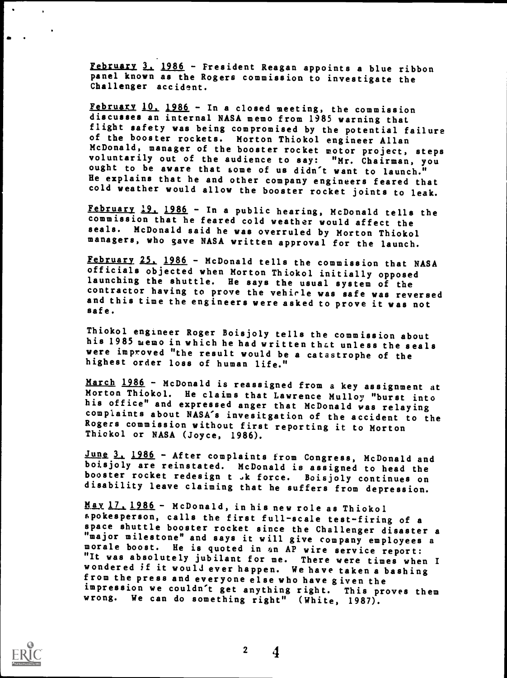February 3. 1986 - President Reagan appoints a blue ribbon panel known as the Rogers commission to investigate the Challenger accident.

February 10, 1986 - In a closed meeting, the commission discusses an internal NASA memo from 1985 warning that flight safety was being compromised by the potential failure of the booster rockets. Morton Thiokol engineer Allan McDonald, manager of the booster rocket motor project, steps<br>voluntarily out of the audience to say: "Mr. Chairman, you ought to be aware that some of us didn't want to launch."<br>He explains that he and other company engineers feared that cold weather would allow the booster rocket joints to leak.

February 19. 1986 - In a public hearing, McDonald tells the commission that he feared cold weather would affect the seals. McDonald said he was overruled by Morton Thiokol managers, who gave NASA written approval for the launch.

February 25, 1986 - McDonald tells the commission that NASA officials objected when Morton Thiokol initially opposed launching the shuttle. He says the usual system of the contractor having to prove the vehicle was safe was reversed and this time the engineers were asked to prove it was not safe.

Thiokol engineer Roger Boisjoly tells the commission about his 1985 memo in which he had written thzt unless the seals were improved "the result would be a catastrophe of the highest order loss of human life."

March 1986 - McDonald is reassigned from a key assignment at Morton Thiokol. He claims that Lawrence Mulloy "burst into his office" and expressed anger that McDonald was relaying complaints about NASA's invesitgation of the accident to the Rogers commission without first reporting it to Morton Thiokol or NASA (Joyce, 1986).

June 3, 1986 - After complaints from Congress, McDonald and boi.sjoly are reinstated. McDonald is assigned to head the booster rocket redesign t .k force. Boisjoly continues on disability leave claiming that he suffers from depression.

May 17, 1986 - McDonald, in his new role as Thiokol<br>spokesperson, calls the first full-scale test-firing of a space shuttle booster rocket since the Challenger disaster a "major milestone" and says it will give company employees a morale boost. He is quoted in an AP wire service report:<br>"It was absolutely jubilant for me. There were times when I<br>wondered if it would ever happen. We have taken a bashing from the press and everyone else who have given the impression we couldn't get anything right. This proves them wrong. We can do something right" (White, 1987).

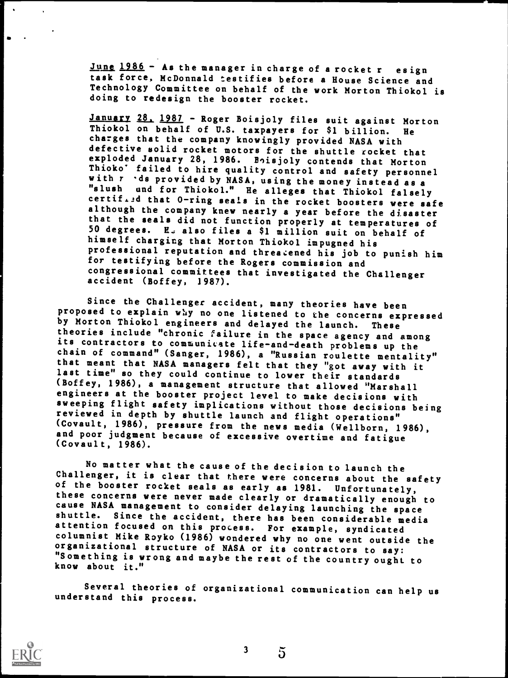June 1986 - As the manager in charge of a rocket r esign task force, McDonnald testifies before a House Science and Technology Committee on behalf of the work Morton Thiokol is doing to redesign the booster rocket.

January 28, 1987 - Roger Boisjoly files suit against Morton Thiokol on behalf of U.S. taxpayers for \$1 billion. He charges that the company knowingly provided NASA with defective solid rocket motors for the shuttle rocket that exploded January 28, 1986. Boisjoly contends that Morton Thioko' failed to hire quality control and safety personnel<br>with  $r$  'ds provided by NASA, using the money instead as a "slush und for Thiokol." He alleges that Thiokol falsely certif.id that 0-ring seals in the rocket boosters were safe although the company knew nearly a year before the disaster that the seals did not function properly at temperatures of 50 degrees. E also files a \$1 million suit on behalf of himself charging that Morton Thiokol impugned his professional reputation and threatened his job to punish him for testifying before the Rogers commission and congressional committees that investigated the Challenger accident (Boffey, 1987).

Since the Challenger accident, many theories have been proposed to explain why no one listened to the concerns expressed by Morton Thiokol engineers and delayed the launch. These<br>theories include "chronic failure in the space agency and among its contractors to communicate life-and-death problems up the<br>chain of command" (Sanger, 1986), a "Russian roulette mentality" that meant that NASA managers felt that they "got away with it last time" so they could continue to lower their standards (Boffey, 1986), a management structure that allowed "Marshall engineers at the booster project level to make decisions with sweeping flight safety implications without those decisions being reviewed in depth by shuttle launch and flight operations" (Covault, 1986), pressure from the news media (Wellborn, 1986), and poor judgment because of excessive overtime and fatigue (Covault, 1986).

No matter what the cause of the decision to launch the Challenger, it is clear that there were concerns about the safety<br>of the booster rocket seals as early as 1981. Unfortunately, these concerns were never made clearly or dramatically enough to cause NASA management to consider delaying launching the space shuttle. Since the accident, there has been considerable media attention focused on this process. For example, syndicated columnist Mike Royko (1986) wondered why no one went outside the "Something is wrong and maybe the rest of the country ought to know about it."

Several theories of organizational communication can help us understand this process.

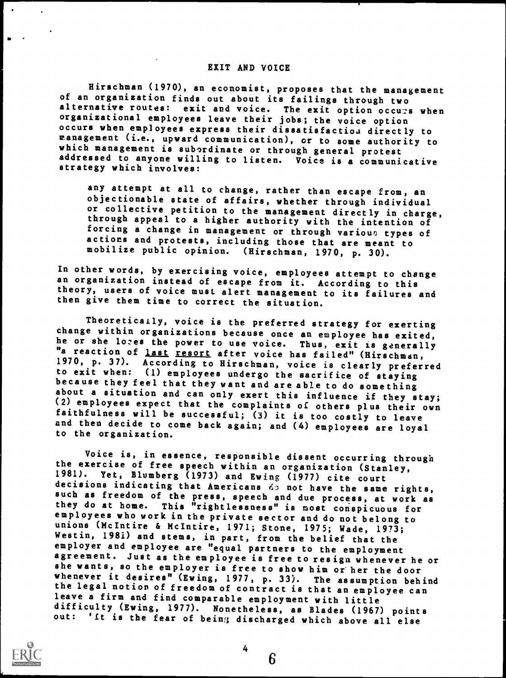## EXIT AND VOICE

Hirschman (1970), an economist, proposes that the management of an organization finds out about its failings through two alternative routes: exit and voice. The exit option occurs when organizational employees leave their jobs; the voice option management (i.e., upward communication), or to some authority to which management is subordinate or through general protest addressed to anyone willing to listen. Voice is a communicative strategy which involves:

any attempt at all to change, rather than escape from, an objectionable state of affairs, whether through individual or collective petition to the management directly in charge, through appeal to a higher authority with the intention of actions and protests, including those that are meant to mobilize public opinion. (Hirschman, 1970, p. 30).

In other words, by exercising voice, employees attempt to change an organization instead of escape from it. According to this theory, users of voice must alert management to its failures and then give them time to correct the situation.

Theoretically, voice is the preferred strategy for exerting change within organizations because once an employee has exited, he or she lozes the power to use voice. Thus, exit is generally "a reaction of <u>last resort</u> after voice has failed" (Hirschman,<br>1970, p. 37). According to Hirschman, voice is clearly preferred to exit when: (1) employees undergo the sacrifice of staying<br>because they feel that they want and are able to do something<br>about a situation and can only exert this influence if they stay; (2) employees expect that the complaints of others plus their own faithfulness will be successful; (3) it is too costly to leave and then decide to come back again; and (4) employees are loyal to the organization.

Voice is, in essence, responsible dissent occurring through the exercise of free speech within an organization (Stanley, 1981). Yet, Blumberg (1973) and Ewing (1977) cite court<br>decisions indicating that Americans do not have the same rights, such as freedom of the press, speech and due process, at work as they do at home. This "rightlessness" is most conspicuous for employees who work in the private sector and do not belong to unions (McIntire & McIntire, 1971; Stone, 1975; Wade, 1973;<br>Westin, 1981) and stems, in part, from the belief that the employer and employee are "equal partners to the employment<br>agreement. Just as the employee is free to resign whenever he or she wants, so the employer is free to show him or her the door<br>whenever it desires" (Ewing, 1977, p. 33). The assumption behind the legal notion of freedom of contract is that an employee can leave a firm and find comparable employment with little difficulty (Ewing, 1977). Nonetheless, as Blades (1967) points out: 'It is the fear of being discharged which above all else



6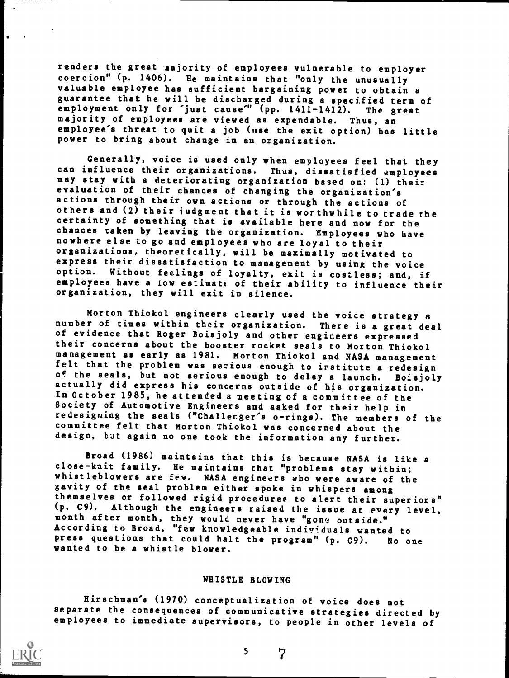renders the great ajority of employees vulnerable to employer coercion" (p. 1406). He maintains that "only the unusually valuable employee has sufficient bargaining power to obtain a guarantee that he will be discharged during a specified term of employment only for 'just cause'" (pp. 1411-1412). The great employment only for 'just cause'" (pp.  $1411-1412$ ). majority of employees are viewed as expendable. Thus, an employee's threat to quit a job (use the exit option) has little power to bring about change in an organization.

Generally, voice is used only when employees feel that they<br>can influence their organizations. Thus, dissatisfied employees may stay with a deteriorating organization based on: (1) their<br>evaluation of their chances of changing the organization's actions through their own actions or through the actions of others and  $(2)$  their judgment that it is worthwhile to trade the certainty of something that is available here and now for the chances taken by leaving the organization. Employees who have nowhere else to go and employees who are loyal to their organizations, theoretically, will be maximally motivated to express their dissatisfaction to management by using the voice option. Without feelings of loyalty, exit is costless; and, if employees have a low estimate of their ability to influence their organization, they will exit in silence.

Morton Thiokol engineers clearly used the voice strategy a<br>number of times within their organization. There is a great deal of evidence that Roger Boisjoly and other engineers expressed their concerns about the booster rocket seals to Morton Thiokol management as early as 1981. Morton Thiokol and NASA management felt that the problem was serious enough to institute a redesign<br>of the seals, but not serious enough to delay a launch. Boisjoly of the seals, but not serious enough to delay a launch. Boisjoly actually did express his concerns outside of his organization. In October 1985, he attended a meeting of a committee of the Society of Automotive Engineers and asked for their help in redesigning the seals ("Challenger's o-rings). The members of the committee felt that Morton Thiokol was concerned about the design, but again no one took the information any further.

Broad (1986) maintains that this is because NASA is like a close-knit family. He maintains that "problems stay within; whistleblowers are fey. NASA engineers who were aware of the gavity of the seal problem either spoke in whispers among themselves or followed rigid procedures to alert their superiors" (p. C9). Although the engineers raised the issue at every level, month after month, they would never have "gone outside." According to Broad, "few knowledgeable individuals wanted to press questions that could halt the program" (p. C9). No one wanted to be a whistle blower.

### WHISTLE BLOWING

Hirschman's (1970) conceptualization of voice does not separate the consequences of communicative strategies directed by employees to immediate supervisors, to people in other levels of



5

 $\overline{7}$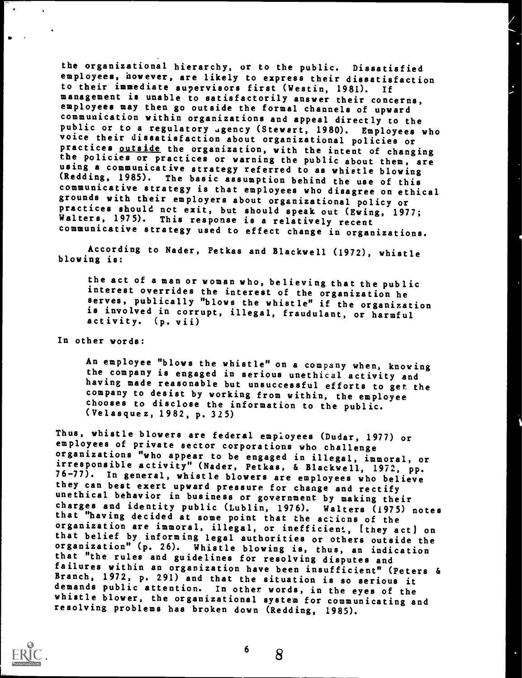the organizational hierarchy, or to the public. Dissatisfied employees, however, are likely to express their dissatisfaction to their immediate supervisors first (Westin, 1981). If management is unable to satisfactorily answer their concerns, employees may then go outside the formal channels of upward<br>communication within organizations and appeal directly to the public or to a regulatory agency (Stewart, 1980). Employees who voice their dissatisfaction about organizational policies or practices <u>outside</u> the organization, with the intent of changing the policies or practices or wa using a communicative strategy referred to as whistle blowing (Redding, 1985). The basic assumption behind the use of this<br>communicative strategy is that employees who disagree on ethical grounds with their employers about organizational policy or<br>practices should net exit, but should speak out (Ewing, 1977;<br>Walters, 1975). This response is a relatively recent communicative strategy used to effect change in organizations.

According to Nader, Petkas and Blackwell (1972), whistle blowing is:

the act of a man or woman who, believing that the public interest overrides the interest of the organization he serves, publically "blows the whistle" if the organization is involved in corrupt, illegal, fraudulant, or harmful activity. (p. vii)

In other words:

An employee "blows the whistle" on a company when, knowing<br>the company is engaged in serious unethical activity and having made reasonable but unsuccessful efforts to get the company to desist by working from within, the employee chooses to disclose the information to the public. (Velasquez, 1982, p. 325)

Thus, whistle blowers are federal employees (Dudar, 1977) or employees of private sector corporations who challenge irresponsible activity" (Nader, Petkas, & Blackwell, 1972, pp. 76-77). In general, whistle blowers are employees who believe they can best exert upward pressure for change and rectify unethical behavior in business or government by making their that "having decided at some point that the actions of the<br>organization are immoral, illegal, or inefficient, [they act] on that belief by informing legal authorities or others outside the organization" (p. 26). Whistle blowing is, thus, an indication<br>that "the rules and guidelines for resolving disputes and failures within an organization have been insufficient" (Peters & Branch, 1972, p. 291) and that the situation is so serious it demands public attention. In other words, in the eyes of the whistle blower, the organizational system for communicating and resolving problems has broken down (Redding, 1985).



8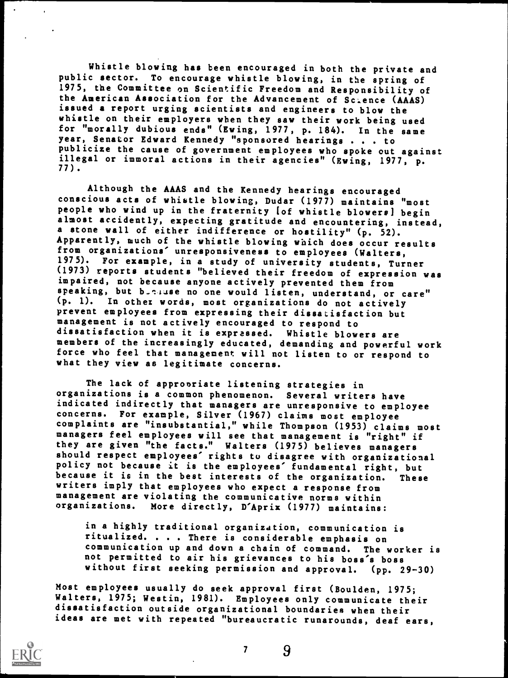Whistle blowing has been encouraged in both the private and public sector. To encourage whistle blowing, in the spring of 1975, the Committee on Scientific Freedom and Responsibility of the American Association for the Advancement of Science (AAAS) issued a report urging scientists and engineers to blow the whistle on their employers when they saw their work being used for "morally dubious ends" (Ewing, 1977, p. 184). In the same year, Senator Edward Kennedy "sponsored hearings . . . to publicize the cause of government employees who spoke out against illegal or immoral actions in their agencies" (Ewing, 1977, p. 77).

Although the AAAS and the Kennedy hearings encouraged conscious acts of whistle blowing, Dudar (1977) maintains "most people who wind up in the fraternity Iof whistle blowers] begin almost accidently, expecting gratitude and encountering, instead, a stone wall of either indifference or hostility" (p. 52). Apparently, much of the whistle blowing which does occur results from organizations' unresponsiveness to employees (Walters, 1975). For example, in a study of university students, Turner (1973) reports students "believed their freedom of expression was impaired, not because anyone actively prevented them from speaking, but butuse no one would listen, understand, or care" (p. 1). In other words, most organizations do not actively prevent employees from expressing their dissatisfaction but management is not actively encouraged to respond to dissatisfaction when it is expressed. Whistle blowers are members of the increasingly educated, demanding and powerful work force who feel that management will not listen to or respond to what they view as legitimate concerns.

The lack of appropriate listening strategies in organizations is a common phenomenon. Several writers have indicated indirectly that managers are unresponsive to employee concerns. For example, Silver (1967) claims most employee complaints are "insubstantial," while Thompson (1953) claims most managers feel employees will see that management is "right" if they are given "the facts." Walters (1975) believes managers should respect employees' rights to disagree with organizational policy not because it is the employees' fundamental right, but because it is in the best interests of the organization. These writers imply that employees who expect a response from management are violating the communicative norms within organizations. More directly, D'Aprix (1977) maintains:

in a highly traditional organization, communication is ritualized. . . . There is considerable emphasis on communication up and down a chain of command. The worker is not permitted to air his grievances to his boss's boss without first seeking permission and approval. (pp. 29-30)

Most employees usually do seek approval first (Boulden, 1975; Walters, 1975; Westin, 1981). Employees only communicate their dissatisfaction outside organizational boundaries when their ideas are met with repeated "bureaucratic runarounds, deaf ears,



7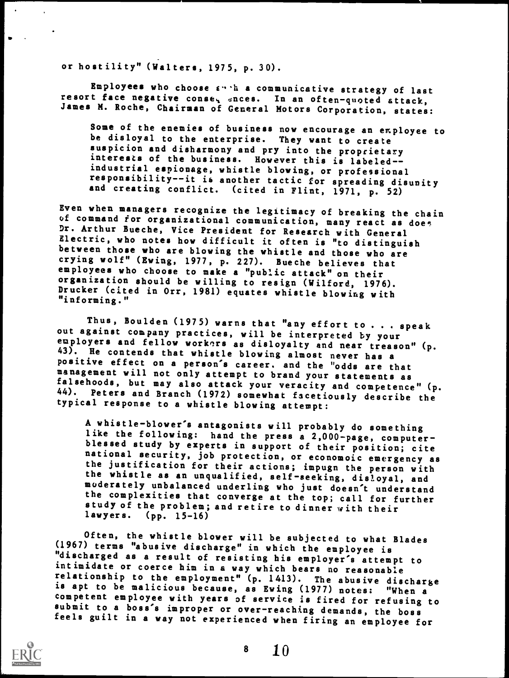or hostility" (Walters, 1975, p. 30).

Employees who choose  $E^{n+1}$  a communicative strategy of last resort face negative conse, ences. In an often-quoted attack, James M. Roche, Chairman of General Motors Corporation, states:

Some of the enemies of business now encourage an employee to be disloyal to the enterprise. They want to create suspicion and disharmony and pry into the proprietary<br>interests of the business. However this is labeled-industrial espionage, whistle blowing, or professional<br>responsibility--it is another tactic for spreading disunity and creating conflict. (cited in Flint, 1971, p. 52)

Even when managers recognize the legitimacy of breaking the chain<br>of command for organizational communication, many react as does Dr. Arthur Bueche, Vice President for Research with General Electric, who notes how difficult it often is "to distinguish between those who are blowing the whistle and those who are crying wolf" (Ewing, 1977, p. 227). Bueche believes that employees who choose to make a "public attack" on their<br>organization should be willing to resign (Wilford, 1976). Drucker (cited in Orr, 1981) equates whistle blowing with "informing."

Thus, Boulden (1975) warns that "any effort to . . . speak out against company practices, will be interpreted by your employers and fellow workers as disloyalty and near treason" (p. 43). He contends that whistle blowing almost never has a positive effect on a person's career, and the "odds are that management will not only attempt to brand your statements as falsehoods, but may also attack your veracity and competence" (p. 44). Peters and Branch (1972) somewhat facetiously describe the typical response to a whistle blowing attempt:

A whistle-blower's antagonists will probably do something blessed study by experts in support of their position; cite national security, job protection, or economoic emergency as the justification for their actions; impugn the person with<br>the whistle as an unqualified, self-seeking, disloyal, and moderately unbalanced underling who just doesn't understand<br>the complexities that converge at the top; call for further study of the problem; and retire to dinner with their lawyers. (pp. 15-16)

Often, the whistle blower will be subjected to what Blades (1967) terms "abusive discharge" in which the employee is "discharged as a result of resisting his employer's attempt to intimidate or coerce him in a way which bears no reasonable relationship to the employment" (p. 1413). The abusive discharge<br>is apt to be malicious because, as Ewing (1977) notes: "When a<br>competent employee with years of service is fired for refusing to<br>submit to a boss's improper feels guilt in a way not experienced when firing an employee for



 $8 \t10$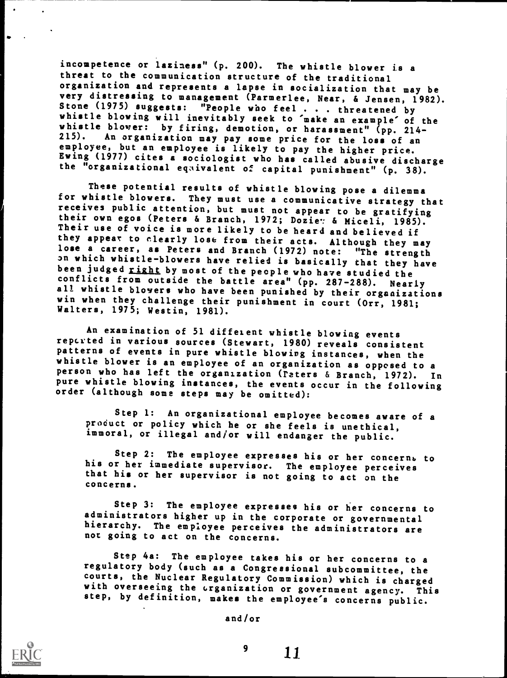incompetence or laziness" (p. 200). The whistle blower is <sup>a</sup> threat to the communication structure of the traditional organization and represents a lapse in socialization that may be Stone (1975) suggests: "People who feel... threatened by<br>whistle blowing will inevitably seek to 'make an example' of the<br>whistle blower: by firing, demotion, or harassment" (pp. 214-<br>215). An organization may pay some pri employee, but an employee is likely to pay the higher price. Ewing (1977) cites a sociologist who has called abusive discharge the "organizational egaivalent of capital punishment" (p. 38).

These potential results of whistle blowing pose a dilemma<br>for whistle blowers. They must use a communicative strategy that receives public attention, but must not appear to be gratifying<br>their own egos (Peters & Branch, 1972; Dozie: & Miceli, 1985). Their use of voice is more likely to be heard and believed if they appear to clearly lose from their acts. Although they may<br>lose a career, as Peters and Branch (1972) note: "The strength on which whistle-blowers have relied is basically that they have been judged right by most of the people who have studied the conflicts from outside the battle area" (pp. 287-288). Near conflicts from outside the battle area" (pp. 287-288). Nearly all whistle blovers who have been punished by their organizations win when they challenge their punishment in court (Orr, 1981; Walters, 1975; Westin, 1981).

An examination of 51 different whistle blowing events reperted in various sources (Stewart, 1980) reveals consistent patterns of events in pure whistle blowing instances, when the person who has left the organization (raters & Branch, 1972). In pure whistle blowing instances, the events occur in the following order (although some steps may be omitted):

Step 1: An organizational employee becomes aware of a product or policy which he or she feels is unethical, immoral, or illegal and /or will endanger the public.

Step 2: The employee expresses his or her concerns to his or her immediate supervisor. The employee perceives that his or her supervisor is not going to act on the concerns.

Step 3: The employee expresses his or her concerns to administrators higher up in the corporate or governmental hierarchy. The employee perceives the administrators are not going to act on the concerns.

Step 4a: The employee takes his or her concerns to a regulatory body (such as a Congressional subcommittee, the with overseeing the  $\alpha$  reganization or government agency. This step, by definition, makes the employee's concerns public.

and/or

 $9 \t 11$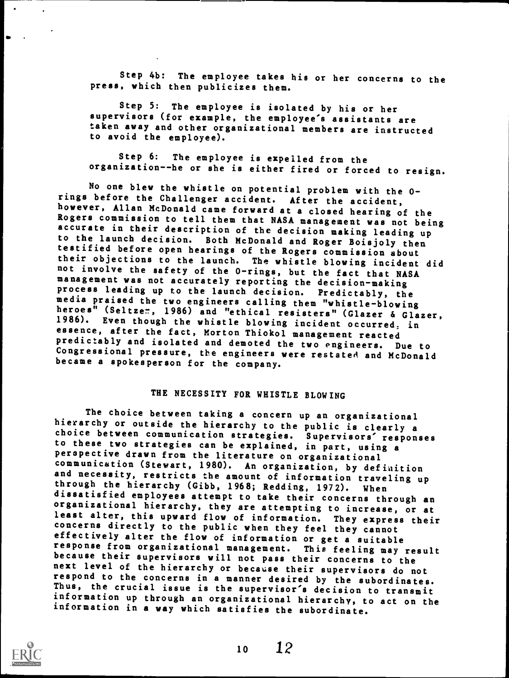Step 4b: The employee takes his or her concerns to the press, which then publicizes them.

Step 5: The employee is isolated by his or her supervisors (for example, the employee's assistants are taken away and other organizational members are instructed to avoid the employee).

Step 6: The employee is expelled from the organization--he or she is either fired or forced to resign.

No one blew the whistle on potential problem with the 0-<br>rings before the Challenger accident. After the accident, however, Allan McDonald came forward at a closed hearing of the<br>Rogers commission to tell them that NASA management was not being<br>accurate in their description of the decision making leading up to the launch decision. Both McDonald and Roger Boisjoly then<br>testified before open hearings of the Rogers commission about<br>their objections to the launch. The whistle blowing incident did not involve the safety of the 0-rings, but the fact that NASA management was not accurately reporting the decision-making process leading up to the launch decision. Predictably, the media praised the two engineers calling them "whistle-blowing<br>heroes" (Seltzem, 1986) and "ethical resisters" (Glazer & Glazer, 1986). Even though the whistle blowing incident occurred, in essence, after the fact, Morton Thiokol management reacted predictably and isolated and demoted the two engineers. Due to Congressional pressure, the engineers were restated and McDonald became a spokesperson for the company.

# THE NECESSITY FOR WHISTLE BLOWING

The choice between taking a concern up an organizational<br>hierarchy or outside the hierarchy to the public is clearly a choice between communication strategies. Supervisors' responses<br>to these two strategies can be explained, in part, using a<br>perspective drawn from the literature on organizational communication (Stewart, 1980). An organization, by definition<br>and necessity, restricts the amount of information traveling up through the hierarchy (Gibb, 1968; Redding, 1972). When dissatisfied employees attempt to take their concerns through an organizational hierarchy, they are attempting to increase, or at<br>least alter, this upward flow of information. They express their concerns directly to the public when they feel they cannot effectively alter the flow of information or get a suitable response from organizational management. This feeling may result<br>because their supervisors will not pass their concerns to the next level of the hierarchy or because their supervisors do not respond to the concerns in a manner desired by the subordinates. Thus, the crucial issue is the supervisor's decision to transmit information up through an organizational hierarchy, to act on the information in a way which satisfies the subordinate.

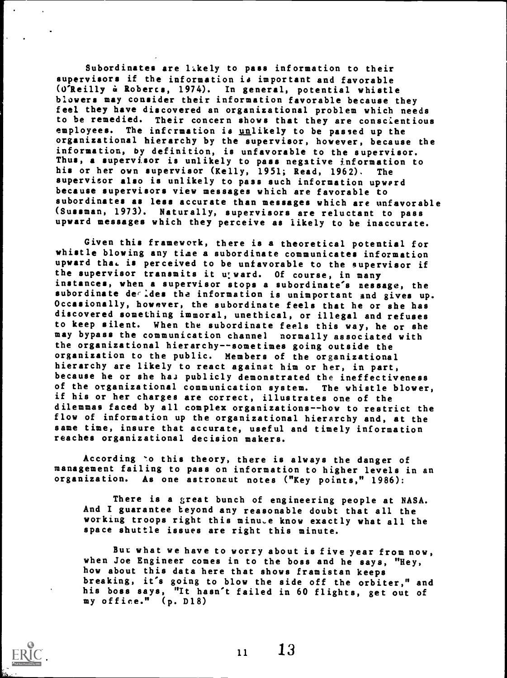Subordinates are likely to pass information to their supervisors if the information is important and favorable (O'Reilly & Robercs, 1974). In general, potential whistle blowers may consider their information favorable because they feel they have discovered an organizational problem which needs to be remedied. Their concern shows that they are conscientious employees. The infcrmation is unlikely to be passed up the organizational hierarchy by the supervisor, however, because the information, by definition, is unfavorable to the supervisor. Thus, a supervisor is unlikely to pass negative information to his or her own supervisor (Kelly, 1951; Read, 1962). The supervisor also is unlikely to pass such information upward because supervisors view messages which are favorable to subordinates as less accurate than messages which are unfavorable (Sussman, 1973). Naturally, supervisors are reluctant to pass upward messages which they perceive as likely to be inaccurate.

Given this framework, there is a theoretical potential for whistle blowing any time a subordinate communicates information upward that is perceived to be unfavorable to the supervisor if the supervisor transmits it u; ward. Of course, in many instances, when a supervisor stops a subordinate's nessage, the subordinate derides the information is unimportant and gives up. Occasionally, however, the subordinate feels that he or she has discovered something immoral, unethical, or illegal and refuses to keep silent. When the subordinate feels this way, he or she may bypass the communication channel normally associated with the organizational hierarchy--sometimes going outside the organization to the public. Members of the organizational hierarchy are likely to react against him or her, in part, because he or she has publicly demonstrated the ineffectiveness of the organizational communication system. The whistle blower, if his or her charges are correct, illustrates one of the dilemmas faced by all complex organizations--how to restrict the flow of information up the organizational hierarchy and, at the same time, insure that accurate, useful and timely information reaches organizational decision makers.

According 'o this theory, there is always the danger of management failing to pass on information to higher levels in an organization. As one astronaut notes ("Key points," 1986):

There is a great bunch of engineering people at NASA. And I guarantee beyond any reasonable doubt that all the working troops right this minu,e know exactly what all the space shuttle issues are right this minute.

But what we have to worry about is five year from now, when Joe Engineer comes in to the boss and he says, "Hey, how about this data here that shows framistan keeps breaking, it's going to blow the side off the orbiter," and his boss says, "It hasn't failed in 60 flights, get out of my office." (p. D18)

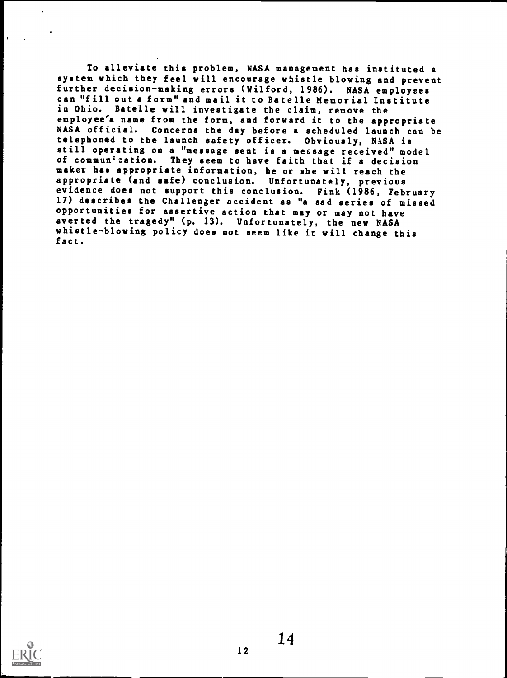To alleviate this problem, NASA management has instituted <sup>a</sup> system which they feel will encourage whistle blowing and prevent further decision-making errors (Wilford, 1986). NASA employees can "fill out a form" and mail it to Batelle Memorial Institute in Ohio. Batelle will investigate the claim, remove the employee'a name from the form, and forward it to the appropriate NASA official. Concerns the day before a scheduled launch can be telephoned to the launch safety officer. Obviously, NASA is still operating on a "message sent is a message received" model of communication. They seem to have faith that if a decision maker has appropriate information, he or she will reach the appropriate (and safe) conclusion. Unfortunately, previous evidence does not support this conclusion. Fink (1986, February 17) describes the Challenger accident as "a sad series of missed opportunities for assertive action that may or may not have averted the tragedy" (p. 13). Unfortunately, the new NASA whistle-blowing policy does not seem like it will change this fact.

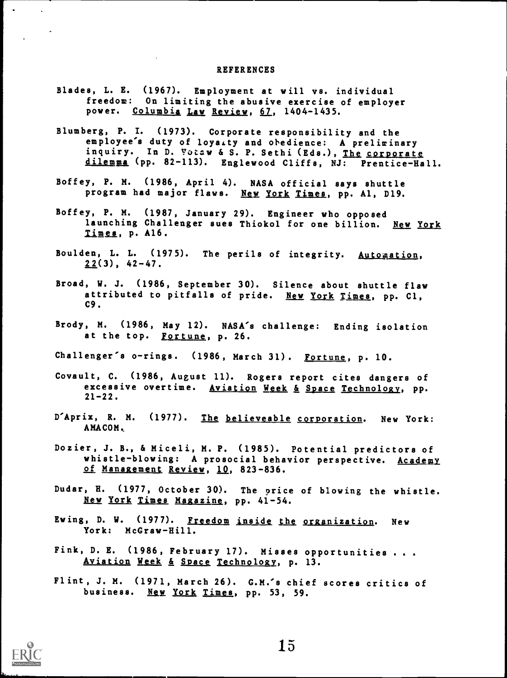#### REFERENCES

- Blades, L. E. (1967). Employment at will vs. individual freedom: On limiting the abusive exercise of employer power. Columbia Law Review, 67, 1404-1435.
- Blumberg, P. I. (1973). Corporate responsibility and the employee's duty of loyaity and obedience: A preliminary inquiry. In D. Votaw & S. P. Sethi (Eds.), The corporate dilemma (pp. 82-113). Englewood Cliffs, NJ: Prentice-Hall.
- Boffey, P. M. (1986, April 4). NASA official says shuttle program had major flaws. New York Times, pp. Al, D19.
- Boffey, P. M. (1987, January 29). Engineer who opposed launching Challenger sues Thiokol for one billion. New York Timga, p. A16.
- Boulden, L. L. (1975). The perils of integrity. Automation,  $22(3)$ , 42-47.
- Broad, W. J. (1986, September 30). Silence about shuttle flaw attributed to pitfalls of pride. New York Times, pp. Cl, C9.
- Brody, M. (1986, May 12). NASA's challenge: Ending isolation at the top. Fortune, p. 26.
- Challenger's o-rings. (1986, March 31). Fortune, p. 10.
- Covault, C. (1986, August 11). Rogers report cites dangers of excessive overtime. Aviation Week & Space Technology, pp.  $21 - 22$ .
- D'Aprix, R. M. (1977). The believeable corporation. New York: AMACOM,
- Dozier, J. B., & Miceli, M. P. (1985). Potential predictors of whistle-blowing: A prosocial behavior perspective. Academy of Management Review, 10, 823-836.
- Dudar, R. (1977, October 30). The price of blowing the whistle. New York Times Magazine, pp. 41-54.
- Ewing, D. W. (1977). Freedom inside the organization. New York: McGraw-Hill.
- Fink, D. E. (1986, February 17). Misses opportunities . . .<br>Aviation Week & Space Technology, p. 13.
- Flint, J. M. (1971, March 26). G.M.'s chief scores critics of business. New York Times, pp. 53, 59.



 $\sim$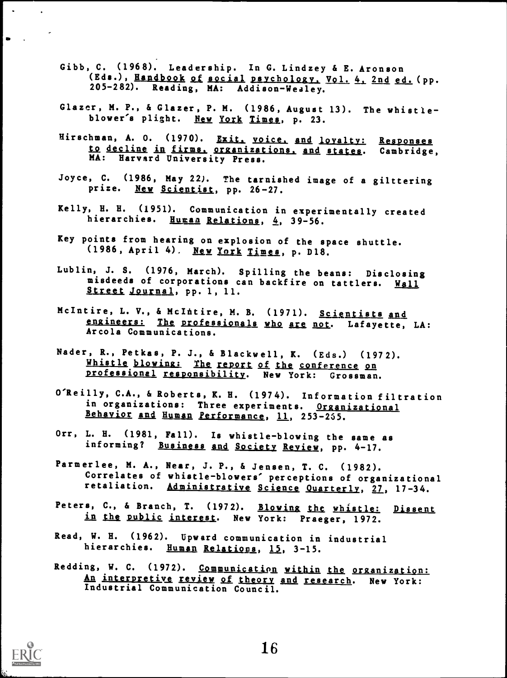- Gibb, C. (1968). Leadership. In G. Lindzey & E. Aronson (Eds.), Handbook of social psychology, Vol. 4, 2nd ed. (pp. 205-282). Reading, MA: Addison-Wealey.
- Glazer, M. P., 6 Glazer, P. M. (1986, August 13). The whistleblower's plight. New York Times, p. 23.
- Hirschman, A. O. (1970). Exit, voice, and loyalty: Responses to decline in firms. organizations, and states. Cambridge, MA: Harvard University Press.
- Joyce, C. (1986, May 22). The tarnished image of a gilttering prize. New Scientist, pp. 26-27.
- Kelly, H. H. (1951). Communication in experimentally created hierarchies. Human Relations, 4, 39-56.
- Key points from hearing on explosion of the space shuttle.  $(1986, April 4)$ . New York Times, p. D18.
- Lublin, J. S. (1976, March). Spilling the beans: Disclosing<br>misdeeds of corporations can backfire on tattlers. Wall Street Journal, pp. 1, 11.
- McIntire, L. V., & McIntire, M. B. (1971). Scientists and engineers: The professionals who are not. Lafayette, LA: Arcola Communications.
- Nader, R., Petkas, P. J., & Blackwell, K. (Eds.) (1972).<br>Whistle blowing: The report of the conference on professional responsibility. New York: Grossman.
- O'Reilly, C.A., & Roberts, K. H. (1974). Information filtration in organizations: Three experiments. Organizational Behavior and Human Performance, 11, 253 -255.
- Orr, L. H. (1981, Fall). Is whistle-blowing the same as informing? Business and Society Review, pp. 4-17.
- Parmerlee, M. A., Near, J. P., & Jensen, T. C. (1982). Correlates of whistle-blowers' perceptions of organizational retaliation. Administrative Science Quarterly, 27, 17-34.
- Peters, C., & Branch, T. (1972). Blowing the whistle: Dissent in the public interest. New York: Praeger, 1972.
- Read, W. H. (1962). Upward communication in industrial hierarchies. Human Relations, 15, 3-15.
- Redding, W. C. (1972). Communication within the organization: An interpretive review of theory and research. New York: Industrial Communication Council.



 $\mathcal{L}_{\text{max}}$  and  $\mathcal{L}_{\text{max}}$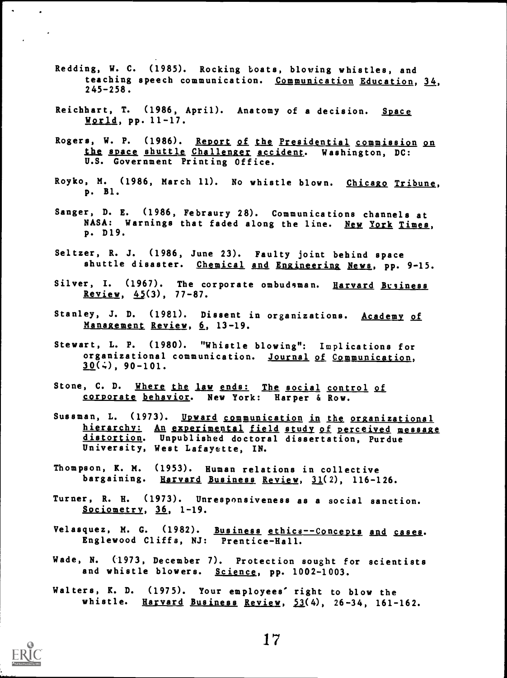- Redding, W. C. (1985). Rocking boats, blowing whistles, and teaching speech communication. Communication Education, 34, 245-258.
- Reichhart, T. (1986, April). Anatomy of a decision. Space World, pp. 11-17.
- Rogers, W. P. (1986). Report of the Presidential commission on the space shuttle Challenger accident. Washington, DC: U.S. Government Printing Office.
- Royko, M. (1986, March 11). No whistle blown. Chicago Tribune, p. Bl.
- Sanger, D. E. (1986, Febraury 28). Communications channels at NASA: Warnings that faded along the line. New York Times, p. D19.
- Seltzer, R. J. (1986, June 23). Faulty joint behind space shuttle disaster. Chemical and Engineering News, pp. 9-15.
- Silver, I. (1967). The corporate ombudsman. Harvard Business Review,  $45(3)$ , 77-87.
- Stanley, J. D. (1981). Dissent in organizations. Academy of Management Review, 6, 13-19.
- Stewart, L. P. (1980). "Whistle blowing": Implications for organizational communication. Journal of Communication,  $30(\frac{1}{2})$ , 90-101.
- Stone, C. D. Where the law ends: The social control of corporate behavior. New York: Harper & Row.
- Sussman, L. (1973). Upward communication in the organizational hierarchy: An experimental field study of perceived message distortion. Unpublished doctoral dissertation, Purdue University, West Lafayette, IN.
- Thompson, K. M. (1953). Human relations in collective bargaining. Harvard Business Review, 31(2), 116-126.
- Turner, R. R. (1973). Unresponsiveness as a social sanction. Sociometrv, 36, 1-19.
- Velasquez, M. G. (1982). Business ethics--Concepts and cases. Englewood Cliffs, NJ: Prentice-Hall.
- Wade, N. (1973, December 7). Protection sought for scientists and whistle blowers. Science, pp. 1002-1003.
- Walters, K. D. (1975). Your employees' right to blow the whistle. Harvard Business Review,  $53(4)$ , 26-34, 161-162.



 $\bullet$  .

 $\sim$   $\sim$